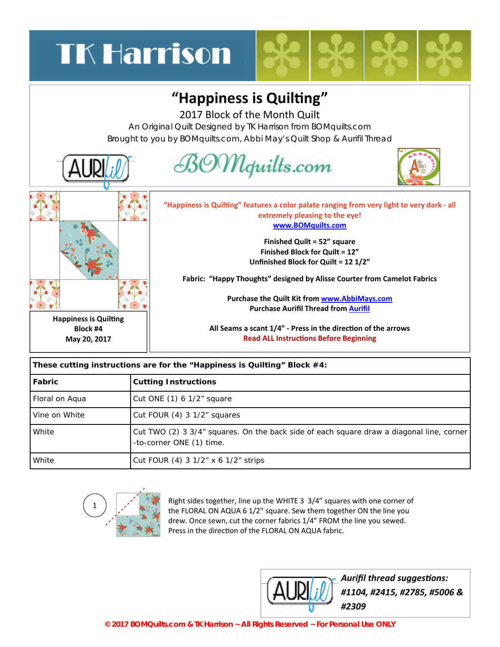## **TK Harrison**

## "Happiness is Quilting"

2017 Block of the Month Quilt

An Original Quilt Designed by TK Harrison from BOMquilts.com Brought to you by BOMquilts.com, Abbi May's Quilt Shop & Aurifil Thread



| These cutting instructions are for the "Happiness is Quilting" Block #4: |                                                                                                                      |
|--------------------------------------------------------------------------|----------------------------------------------------------------------------------------------------------------------|
| <b>Fabric</b>                                                            | <b>Cutting Instructions</b>                                                                                          |
| Floral on Aqua                                                           | Cut ONE (1) 6 1/2" square                                                                                            |
| Vine on White                                                            | Cut FOUR (4) 3 1/2" squares                                                                                          |
| White                                                                    | Cut TWO (2) 3 3/4" squares. On the back side of each square draw a diagonal line, corner<br>-to-corner ONE (1) time. |
| White                                                                    | Cut FOUR (4) 3 $1/2$ " x 6 $1/2$ " strips                                                                            |



Right sides together, line up the WHITE 3 3/4" squares with one corner of the FLORAL ON AQUA 6 1/2" square. Sew them together ON the line you drew. Once sewn, cut the corner fabrics 1/4" FROM the line you sewed. Press in the direction of the FLORAL ON AQUA fabric.



*[A](http://www.followthatthread.com)urifil thread suggesƟons: #1104, #2415, #2785, #5006 & #2309*